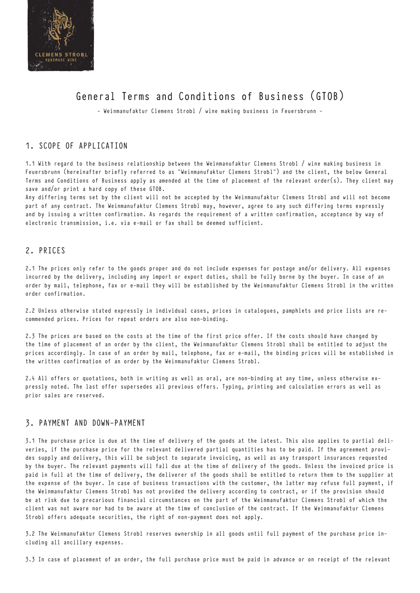

# General Terms and Conditions of Business (GTOB)

- Weinmanufaktur Clemens Strobl / wine making business in Feuersbrunn -

# 1. SCOPE OF APPLICATION

1.1 With regard to the business relationship between the Weinmanufaktur Clemens Strobl / wine making business in Feuersbrunn (hereinafter briefly referred to as "Weinmanufaktur Clemens Strobl") and the client, the below General Terms and Conditions of Business apply as amended at the time of placement of the relevant order(s). They client may save and/or print a hard copy of these GTOB.

Any differing terms set by the client will not be accepted by the Weinmanufaktur Clemens Strobl and will not become part of any contract. The Weinmanufaktur Clemens Strobl may, however, agree to any such differing terms expressly and by issuing a written confirmation. As regards the requirement of a written confirmation, acceptance by way of electronic transmission, i.e. via e-mail or fax shall be deemed sufficient.

# 2. PRICES

2.1 The prices only refer to the goods proper and do not include expenses for postage and/or delivery. All expenses incurred by the delivery, including any import or export duties, shall be fully borne by the buyer. In case of an order by mail, telephone, fax or e-mail they will be established by the Weinmanufaktur Clemens Strobl in the written order confirmation.

2.2 Unless otherwise stated expressly in individual cases, prices in catalogues, pamphlets and price lists are recommended prices. Prices for repeat orders are also non-binding.

2.3 The prices are based on the costs at the time of the first price offer. If the costs should have changed by the time of placement of an order by the client, the Weinmanufaktur Clemens Strobl shall be entitled to adjust the prices accordingly. In case of an order by mail, telephone, fax or e-mail, the binding prices will be established in the written confirmation of an order by the Weinmanufaktur Clemens Strobl.

2.4 All offers or quotations, both in writing as well as oral, are non-binding at any time, unless otherwise expressly noted. The last offer supersedes all previous offers. Typing, printing and calculation errors as well as prior sales are reserved.

# 3. PAYMENT AND DOWN-PAYMENT

3.1 The purchase price is due at the time of delivery of the goods at the latest. This also applies to partial deliveries, if the purchase price for the relevant delivered partial quantities has to be paid. If the agreement provides supply and delivery, this will be subject to separate invoicing, as well as any transport insurances requested by the buyer. The relevant payments will fall due at the time of delivery of the goods. Unless the invoiced price is paid in full at the time of delivery, the deliverer of the goods shall be entitled to return them to the supplier at the expense of the buyer. In case of business transactions with the customer, the latter may refuse full payment, if the Weinmanufaktur Clemens Strobl has not provided the delivery according to contract, or if the provision should be at risk due to precarious financial circumstances on the part of the Weinmanufaktur Clemens Strobl of which the client was not aware nor had to be aware at the time of conclusion of the contract. If the Weinmanufaktur Clemens Strobl offers adequate securities, the right of non-payment does not apply.

3.2 The Weinmanufaktur Clemens Strobl reserves ownership in all goods until full payment of the purchase price including all ancillary expenses.

3.3 In case of placement of an order, the full purchase price must be paid in advance or on receipt of the relevant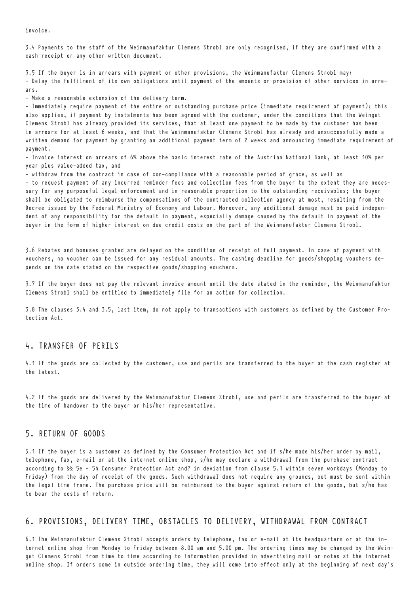invoice.

3.4 Payments to the staff of the Weinmanufaktur Clemens Strobl are only recognised, if they are confirmed with a cash receipt or any other written document.

3.5 If the buyer is in arrears with payment or other provisions, the Weinmanufaktur Clemens Strobl may: - Delay the fulfilment of its own obligations until payment of the amounts or provision of other services in arrears.

- Make a reasonable extension of the delivery term.

- Immediately require payment of the entire or outstanding purchase price (immediate requirement of payment); this also applies, if payment by instalments has been agreed with the customer, under the conditions that the Weingut Clemens Strobl has already provided its services, that at least one payment to be made by the customer has been in arrears for at least 6 weeks, and that the Weinmanufaktur Clemens Strobl has already and unsuccessfully made a written demand for payment by granting an additional payment term of 2 weeks and announcing immediate requirement of payment.

- Invoice interest on arrears of 6% above the basic interest rate of the Austrian National Bank, at least 10% per year plus value-added tax, and

- withdraw from the contract in case of con-compliance with a reasonable period of grace, as well as

- to request payment of any incurred reminder fees and collection fees from the buyer to the extent they are necessary for any purposeful legal enforcement and in reasonable proportion to the outstanding receivables; the buyer shall be obligated to reimburse the compensations of the contracted collection agency at most, resulting from the Decree issued by the Federal Ministry of Economy and Labour. Moreover, any additional damage must be paid independent of any responsibility for the default in payment, especially damage caused by the default in payment of the buyer in the form of higher interest on due credit costs on the part of the Weinmanufaktur Clemens Strobl.

3.6 Rebates and bonuses granted are delayed on the condition of receipt of full payment. In case of payment with vouchers, no voucher can be issued for any residual amounts. The cashing deadline for goods/shopping vouchers depends on the date stated on the respective goods/shopping vouchers.

3.7 If the buyer does not pay the relevant invoice amount until the date stated in the reminder, the Weinmanufaktur Clemens Strobl shall be entitled to immediately file for an action for collection.

3.8 The clauses 3.4 and 3.5, last item, do not apply to transactions with customers as defined by the Customer Protection Act.

## 4. TRANSFER OF PERILS

4.1 If the goods are collected by the customer, use and perils are transferred to the buyer at the cash register at the latest.

4.2 If the goods are delivered by the Weinmanufaktur Clemens Strobl, use and perils are transferred to the buyer at the time of handover to the buyer or his/her representative.

## 5. RETURN OF GOODS

5.1 If the buyer is a customer as defined by the Consumer Protection Act and if s/he made his/her order by mail, telephone, fax, e-mail or at the internet online shop, s/he may declare a withdrawal from the purchase contract according to §§ 5e – 5h Consumer Protection Act and? in deviation from clause 5.1 within seven workdays (Monday to Friday) from the day of receipt of the goods. Such withdrawal does not require any grounds, but must be sent within the legal time frame. The purchase price will be reimbursed to the buyer against return of the goods, but s/he has to bear the costs of return.

## 6. PROVISIONS, DELIVERY TIME, OBSTACLES TO DELIVERY, WITHDRAWAL FROM CONTRACT

6.1 The Weinmanufaktur Clemens Strobl accepts orders by telephone, fax or e-mail at its headquarters or at the internet online shop from Monday to Friday between 8.00 am and 5.00 pm. The ordering times may be changed by the Weingut Clemens Strobl from time to time according to information provided in advertising mail or notes at the internet online shop. If orders come in outside ordering time, they will come into effect only at the beginning of next day's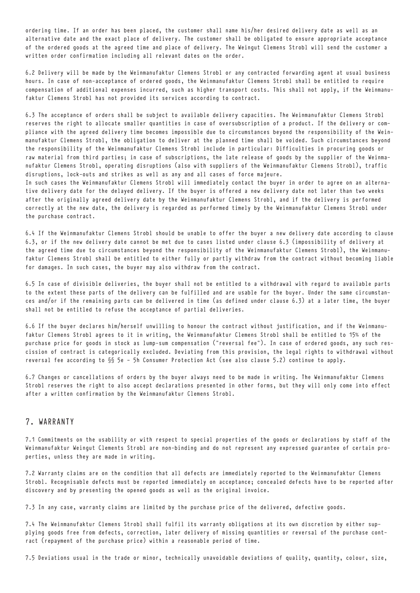ordering time. If an order has been placed, the customer shall name his/her desired delivery date as well as an alternative date and the exact place of delivery. The customer shall be obligated to ensure appropriate acceptance of the ordered goods at the agreed time and place of delivery. The Weingut Clemens Strobl will send the customer a written order confirmation including all relevant dates on the order.

6.2 Delivery will be made by the Weinmanufaktur Clemens Strobl or any contracted forwarding agent at usual business hours. In case of non-acceptance of ordered goods, the Weinmanufaktur Clemens Strobl shall be entitled to require compensation of additional expenses incurred, such as higher transport costs. This shall not apply, if the Weinmanufaktur Clemens Strobl has not provided its services according to contract.

6.3 The acceptance of orders shall be subject to available delivery capacities. The Weinmanufaktur Clemens Strobl reserves the right to allocate smaller quantities in case of oversubscription of a product. If the delivery or compliance with the agreed delivery time becomes impossible due to circumstances beyond the responsibility of the Weinmanufaktur Clemens Strobl, the obligation to deliver at the planned time shall be voided. Such circumstances beyond the responsibility of the Weinmanufaktur Clemens Strobl include in particular: Difficulties in procuring goods or raw material from third parties; in case of subscriptions, the late release of goods by the supplier of the Weinmanufaktur Clemens Strobl, operating disruptions (also with suppliers of the Weinmanufaktur Clemens Strobl), traffic disruptions, lock-outs and strikes as well as any and all cases of force majeure. In such cases the Weinmanufaktur Clemens Strobl will immediately contact the buyer in order to agree on an alterna-

tive delivery date for the delayed delivery. If the buyer is offered a new delivery date not later than two weeks after the originally agreed delivery date by the Weinmanufaktur Clemens Strobl, and if the delivery is performed correctly at the new date, the delivery is regarded as performed timely by the Weinmanufaktur Clemens Strobl under the purchase contract.

6.4 If the Weinmanufaktur Clemens Strobl should be unable to offer the buyer a new delivery date according to clause 6.3, or if the new delivery date cannot be met due to cases listed under clause 6.3 (impossibility of delivery at the agreed time due to circumstances beyond the responsibility of the Weinmanufaktur Clemens Strobl), the Weinmanufaktur Clemens Strobl shall be entitled to either fully or partly withdraw from the contract without becoming liable for damages. In such cases, the buyer may also withdraw from the contract.

6.5 In case of divisible deliveries, the buyer shall not be entitled to a withdrawal with regard to available parts to the extent these parts of the delivery can be fulfilled and are usable for the buyer. Under the same circumstances and/or if the remaining parts can be delivered in time (as defined under clause 6.3) at a later time, the buyer shall not be entitled to refuse the acceptance of partial deliveries.

6.6 If the buyer declares him/herself unwilling to honour the contract without justification, and if the Weinmanufaktur Clemens Strobl agrees to it in writing, the Weinmanufaktur Clemens Strobl shall be entitled to 15% of the purchase price for goods in stock as lump-sum compensation ("reversal fee"). In case of ordered goods, any such rescission of contract is categorically excluded. Deviating from this provision, the legal rights to withdrawal without reversal fee according to §§ 5e – 5h Consumer Protection Act (see also clause 5.2) continue to apply.

6.7 Changes or cancellations of orders by the buyer always need to be made in writing. The Weinmanufaktur Clemens Strobl reserves the right to also accept declarations presented in other forms, but they will only come into effect after a written confirmation by the Weinmanufaktur Clemens Strobl.

# 7. WARRANTY

7.1 Commitments on the usability or with respect to special properties of the goods or declarations by staff of the Weinmanufaktur Weingut Clements Strobl are non-binding and do not represent any expressed guarantee of certain properties, unless they are made in writing.

7.2 Warranty claims are on the condition that all defects are immediately reported to the Weinmanufaktur Clemens Strobl. Recognisable defects must be reported immediately on acceptance; concealed defects have to be reported after discovery and by presenting the opened goods as well as the original invoice.

7.3 In any case, warranty claims are limited by the purchase price of the delivered, defective goods.

7.4 The Weinmanufaktur Clemens Strobl shall fulfil its warranty obligations at its own discretion by either supplying goods free from defects, correction, later delivery of missing quantities or reversal of the purchase contract (repayment of the purchase price) within a reasonable period of time.

7.5 Deviations usual in the trade or minor, technically unavoidable deviations of quality, quantity, colour, size,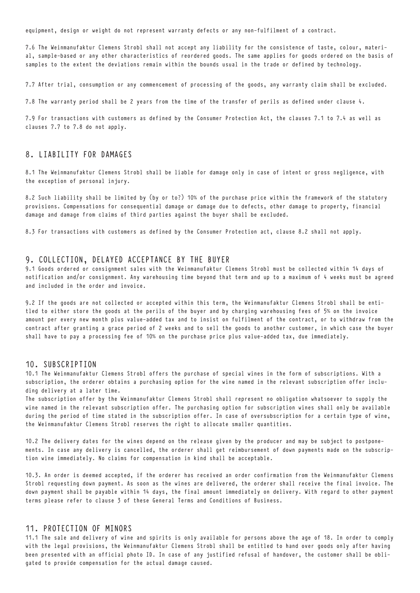equipment, design or weight do not represent warranty defects or any non-fulfilment of a contract.

7.6 The Weinmanufaktur Clemens Strobl shall not accept any liability for the consistence of taste, colour, material, sample-based or any other characteristics of reordered goods. The same applies for goods ordered on the basis of samples to the extent the deviations remain within the bounds usual in the trade or defined by technology.

7.7 After trial, consumption or any commencement of processing of the goods, any warranty claim shall be excluded.

7.8 The warranty period shall be 2 years from the time of the transfer of perils as defined under clause 4.

7.9 For transactions with customers as defined by the Consumer Protection Act, the clauses 7.1 to 7.4 as well as clauses 7.7 to 7.8 do not apply.

## 8. LIABILITY FOR DAMAGES

8.1 The Weinmanufaktur Clemens Strobl shall be liable for damage only in case of intent or gross negligence, with the exception of personal injury.

8.2 Such liability shall be limited by (by or to?) 10% of the purchase price within the framework of the statutory provisions. Compensations for consequential damage or damage due to defects, other damage to property, financial damage and damage from claims of third parties against the buyer shall be excluded.

8.3 For transactions with customers as defined by the Consumer Protection act, clause 8.2 shall not apply.

#### 9. COLLECTION, DELAYED ACCEPTANCE BY THE BUYER

9.1 Goods ordered or consignment sales with the Weinmanufaktur Clemens Strobl must be collected within 14 days of notification and/or consignment. Any warehousing time beyond that term and up to a maximum of 4 weeks must be agreed and included in the order and invoice.

9.2 If the goods are not collected or accepted within this term, the Weinmanufaktur Clemens Strobl shall be entitled to either store the goods at the perils of the buyer and by charging warehousing fees of 5% on the invoice amount per every new month plus value-added tax and to insist on fulfilment of the contract, or to withdraw from the contract after granting a grace period of 2 weeks and to sell the goods to another customer, in which case the buyer shall have to pay a processing fee of 10% on the purchase price plus value-added tax, due immediately.

#### 10. SUBSCRIPTION

10.1 The Weinmanufaktur Clemens Strobl offers the purchase of special wines in the form of subscriptions. With a subscription, the orderer obtains a purchasing option for the wine named in the relevant subscription offer including delivery at a later time.

The subscription offer by the Weinmanufaktur Clemens Strobl shall represent no obligation whatsoever to supply the wine named in the relevant subscription offer. The purchasing option for subscription wines shall only be available during the period of time stated in the subscription offer. In case of oversubscription for a certain type of wine, the Weinmanufaktur Clemens Strobl reserves the right to allocate smaller quantities.

10.2 The delivery dates for the wines depend on the release given by the producer and may be subject to postponements. In case any delivery is cancelled, the orderer shall get reimbursement of down payments made on the subscription wine immediately. No claims for compensation in kind shall be acceptable.

10.3. An order is deemed accepted, if the orderer has received an order confirmation from the Weinmanufaktur Clemens Strobl requesting down payment. As soon as the wines are delivered, the orderer shall receive the final invoice. The down payment shall be payable within 14 days, the final amount immediately on delivery. With regard to other payment terms please refer to clause 3 of these General Terms and Conditions of Business.

#### 11. PROTECTION OF MINORS

11.1 The sale and delivery of wine and spirits is only available for persons above the age of 18. In order to comply with the legal provisions, the Weinmanufaktur Clemens Strobl shall be entitled to hand over goods only after having been presented with an official photo ID. In case of any justified refusal of handover, the customer shall be obligated to provide compensation for the actual damage caused.